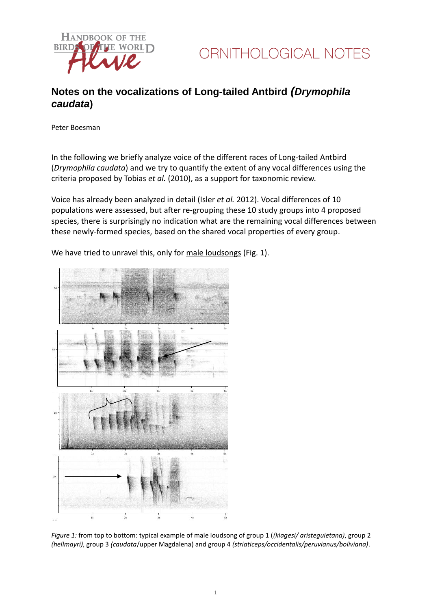

## **Notes on the vocalizations of Long-tailed Antbird** *(Drymophila caudata***)**

Peter Boesman

In the following we briefly analyze voice of the different races of Long-tailed Antbird (*Drymophila caudata*) and we try to quantify the extent of any vocal differences using the criteria proposed by Tobias *et al.* (2010), as a support for taxonomic review.

Voice has already been analyzed in detail (Isler *et al.* 2012). Vocal differences of 10 populations were assessed, but after re-grouping these 10 study groups into 4 proposed species, there is surprisingly no indication what are the remaining vocal differences between these newly-formed species, based on the shared vocal properties of every group.

We have tried to unravel this, only for male loudsongs (Fig. 1).

*Figure 1:* from top to bottom: typical example of male loudsong of group 1 (*(klagesi/ aristeguietana)*, group 2 *(hellmayri)*, group 3 *(caudata*/upper Magdalena) and group 4 *(striaticeps/occidentalis/peruvianus/boliviana)*.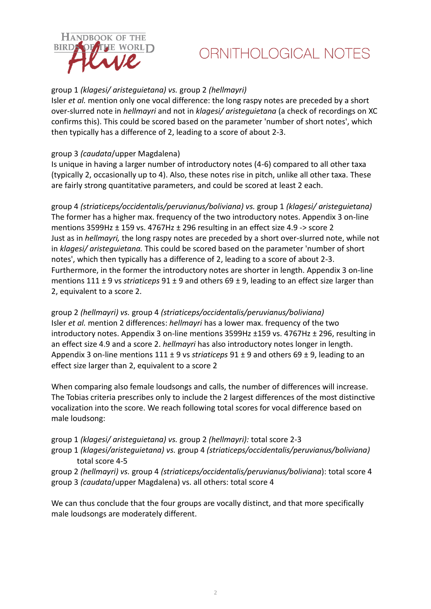

# ORNITHOLOGICAL NOTES

### group 1 *(klagesi/ aristeguietana) vs.* group 2 *(hellmayri)*

Isler *et al.* mention only one vocal difference: the long raspy notes are preceded by a short over-slurred note in *hellmayri* and not in *klagesi/ aristeguietana* (a check of recordings on XC confirms this). This could be scored based on the parameter 'number of short notes', which then typically has a difference of 2, leading to a score of about 2-3.

#### group 3 *(caudata*/upper Magdalena)

Is unique in having a larger number of introductory notes (4-6) compared to all other taxa (typically 2, occasionally up to 4). Also, these notes rise in pitch, unlike all other taxa. These are fairly strong quantitative parameters, and could be scored at least 2 each.

group 4 *(striaticeps/occidentalis/peruvianus/boliviana) vs.* group 1 *(klagesi/ aristeguietana)* The former has a higher max. frequency of the two introductory notes. Appendix 3 on-line mentions 3599Hz ± 159 vs. 4767Hz ± 296 resulting in an effect size 4.9 -> score 2 Just as in *hellmayri,* the long raspy notes are preceded by a short over-slurred note, while not in *klagesi/ aristeguietana.* This could be scored based on the parameter 'number of short notes', which then typically has a difference of 2, leading to a score of about 2-3. Furthermore, in the former the introductory notes are shorter in length. Appendix 3 on-line mentions 111 ± 9 vs *striaticeps* 91 ± 9 and others 69 ± 9, leading to an effect size larger than 2, equivalent to a score 2.

group 2 *(hellmayri) vs.* group 4 *(striaticeps/occidentalis/peruvianus/boliviana)* Isler *et al.* mention 2 differences: *hellmayri* has a lower max. frequency of the two introductory notes. Appendix 3 on-line mentions 3599Hz ±159 vs. 4767Hz ± 296, resulting in an effect size 4.9 and a score 2. *hellmayri* has also introductory notes longer in length. Appendix 3 on-line mentions 111 ± 9 vs *striaticeps* 91 ± 9 and others 69 ± 9, leading to an effect size larger than 2, equivalent to a score 2

When comparing also female loudsongs and calls, the number of differences will increase. The Tobias criteria prescribes only to include the 2 largest differences of the most distinctive vocalization into the score. We reach following total scores for vocal difference based on male loudsong:

group 1 *(klagesi/ aristeguietana) vs.* group 2 *(hellmayri):* total score 2-3

group 1 *(klagesi/aristeguietana) vs.* group 4 *(striaticeps/occidentalis/peruvianus/boliviana)* total score 4-5

group 2 *(hellmayri) vs.* group 4 *(striaticeps/occidentalis/peruvianus/boliviana*): total score 4 group 3 *(caudata*/upper Magdalena) vs. all others: total score 4

We can thus conclude that the four groups are vocally distinct, and that more specifically male loudsongs are moderately different.